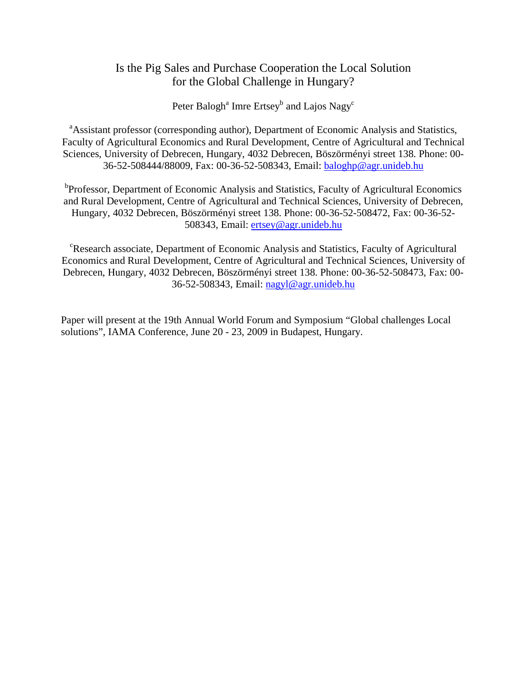Peter Balogh<sup>a</sup> Imre Ertsey<sup>b</sup> and Lajos Nagy<sup>c</sup>

<sup>a</sup>Assistant professor (corresponding author), Department of Economic Analysis and Statistics, Faculty of Agricultural Economics and Rural Development, Centre of Agricultural and Technical Sciences, University of Debrecen, Hungary, 4032 Debrecen, Böszörményi street 138. Phone: 00- 36-52-508444/88009, Fax: 00-36-52-508343, Email: baloghp@agr.unideb.hu

<sup>b</sup>Professor, Department of Economic Analysis and Statistics, Faculty of Agricultural Economics and Rural Development, Centre of Agricultural and Technical Sciences, University of Debrecen, Hungary, 4032 Debrecen, Böszörményi street 138. Phone: 00-36-52-508472, Fax: 00-36-52- 508343, Email: ertsey@agr.unideb.hu

<sup>c</sup>Research associate, Department of Economic Analysis and Statistics, Faculty of Agricultural Economics and Rural Development, Centre of Agricultural and Technical Sciences, University of Debrecen, Hungary, 4032 Debrecen, Böszörményi street 138. Phone: 00-36-52-508473, Fax: 00- 36-52-508343, Email: nagyl@agr.unideb.hu

Paper will present at the 19th Annual World Forum and Symposium "Global challenges Local solutions", IAMA Conference, June 20 - 23, 2009 in Budapest, Hungary.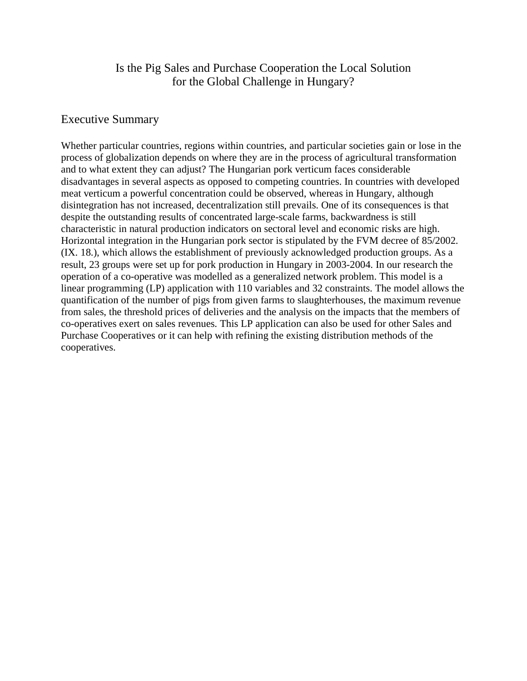### Executive Summary

Whether particular countries, regions within countries, and particular societies gain or lose in the process of globalization depends on where they are in the process of agricultural transformation and to what extent they can adjust? The Hungarian pork verticum faces considerable disadvantages in several aspects as opposed to competing countries. In countries with developed meat verticum a powerful concentration could be observed, whereas in Hungary, although disintegration has not increased, decentralization still prevails. One of its consequences is that despite the outstanding results of concentrated large-scale farms, backwardness is still characteristic in natural production indicators on sectoral level and economic risks are high. Horizontal integration in the Hungarian pork sector is stipulated by the FVM decree of 85/2002. (IX. 18.), which allows the establishment of previously acknowledged production groups. As a result, 23 groups were set up for pork production in Hungary in 2003-2004. In our research the operation of a co-operative was modelled as a generalized network problem. This model is a linear programming (LP) application with 110 variables and 32 constraints. The model allows the quantification of the number of pigs from given farms to slaughterhouses, the maximum revenue from sales, the threshold prices of deliveries and the analysis on the impacts that the members of co-operatives exert on sales revenues. This LP application can also be used for other Sales and Purchase Cooperatives or it can help with refining the existing distribution methods of the cooperatives.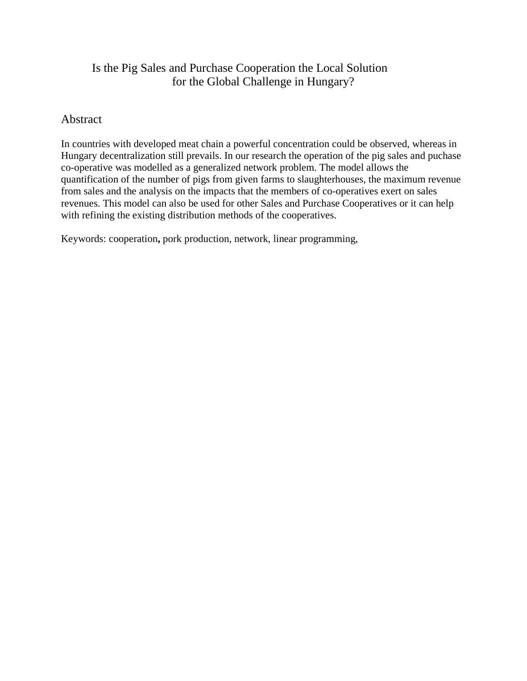#### **Abstract**

In countries with developed meat chain a powerful concentration could be observed, whereas in Hungary decentralization still prevails. In our research the operation of the pig sales and puchase co-operative was modelled as a generalized network problem. The model allows the quantification of the number of pigs from given farms to slaughterhouses, the maximum revenue from sales and the analysis on the impacts that the members of co-operatives exert on sales revenues. This model can also be used for other Sales and Purchase Cooperatives or it can help with refining the existing distribution methods of the cooperatives.

Keywords: cooperation**,** pork production, network, linear programming,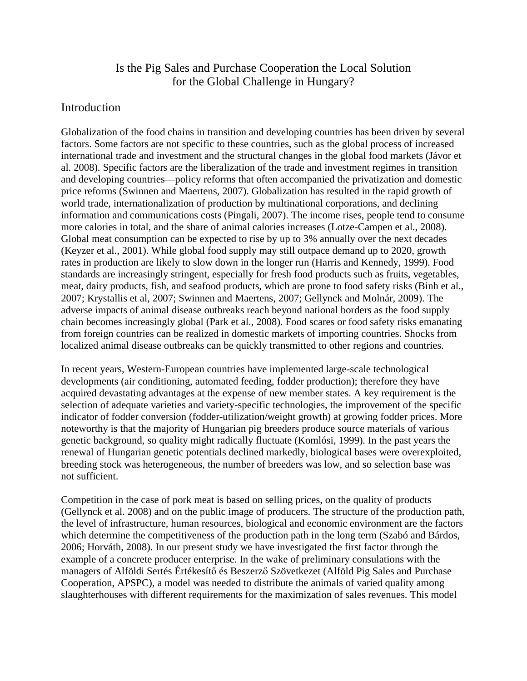#### Introduction

Globalization of the food chains in transition and developing countries has been driven by several factors. Some factors are not specific to these countries, such as the global process of increased international trade and investment and the structural changes in the global food markets (Jávor et al. 2008). Specific factors are the liberalization of the trade and investment regimes in transition and developing countries—policy reforms that often accompanied the privatization and domestic price reforms (Swinnen and Maertens, 2007). Globalization has resulted in the rapid growth of world trade, internationalization of production by multinational corporations, and declining information and communications costs (Pingali, 2007). The income rises, people tend to consume more calories in total, and the share of animal calories increases (Lotze-Campen et al., 2008). Global meat consumption can be expected to rise by up to 3% annually over the next decades (Keyzer et al., 2001). While global food supply may still outpace demand up to 2020, growth rates in production are likely to slow down in the longer run (Harris and Kennedy, 1999). Food standards are increasingly stringent, especially for fresh food products such as fruits, vegetables, meat, dairy products, fish, and seafood products, which are prone to food safety risks (Binh et al., 2007; Krystallis et al, 2007; Swinnen and Maertens, 2007; Gellynck and Molnár, 2009). The adverse impacts of animal disease outbreaks reach beyond national borders as the food supply chain becomes increasingly global (Park et al., 2008). Food scares or food safety risks emanating from foreign countries can be realized in domestic markets of importing countries. Shocks from localized animal disease outbreaks can be quickly transmitted to other regions and countries.

In recent years, Western-European countries have implemented large-scale technological developments (air conditioning, automated feeding, fodder production); therefore they have acquired devastating advantages at the expense of new member states. A key requirement is the selection of adequate varieties and variety-specific technologies, the improvement of the specific indicator of fodder conversion (fodder-utilization/weight growth) at growing fodder prices. More noteworthy is that the majority of Hungarian pig breeders produce source materials of various genetic background, so quality might radically fluctuate (Komlósi, 1999). In the past years the renewal of Hungarian genetic potentials declined markedly, biological bases were overexploited, breeding stock was heterogeneous, the number of breeders was low, and so selection base was not sufficient.

Competition in the case of pork meat is based on selling prices, on the quality of products (Gellynck et al. 2008) and on the public image of producers. The structure of the production path, the level of infrastructure, human resources, biological and economic environment are the factors which determine the competitiveness of the production path in the long term (Szabó and Bárdos, 2006; Horváth, 2008). In our present study we have investigated the first factor through the example of a concrete producer enterprise. In the wake of preliminary consulations with the managers of Alföldi Sertés Értékesítő és Beszerző Szövetkezet (Alföld Pig Sales and Purchase Cooperation, APSPC), a model was needed to distribute the animals of varied quality among slaughterhouses with different requirements for the maximization of sales revenues. This model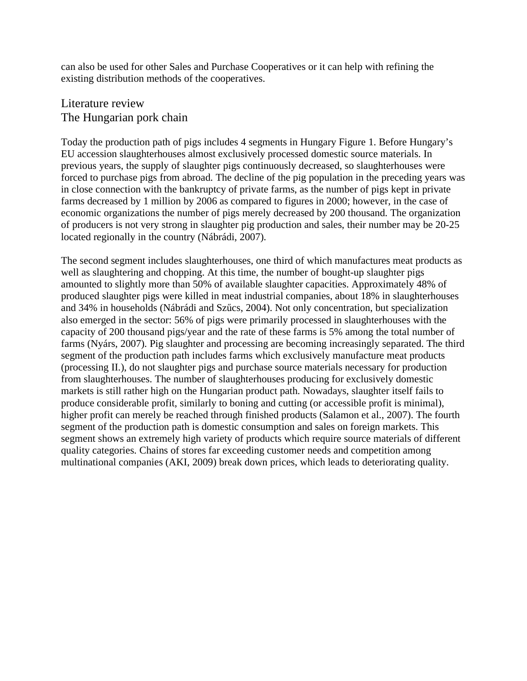can also be used for other Sales and Purchase Cooperatives or it can help with refining the existing distribution methods of the cooperatives.

# Literature review The Hungarian pork chain

Today the production path of pigs includes 4 segments in Hungary Figure 1. Before Hungary's EU accession slaughterhouses almost exclusively processed domestic source materials. In previous years, the supply of slaughter pigs continuously decreased, so slaughterhouses were forced to purchase pigs from abroad. The decline of the pig population in the preceding years was in close connection with the bankruptcy of private farms, as the number of pigs kept in private farms decreased by 1 million by 2006 as compared to figures in 2000; however, in the case of economic organizations the number of pigs merely decreased by 200 thousand. The organization of producers is not very strong in slaughter pig production and sales, their number may be 20-25 located regionally in the country (Nábrádi, 2007).

The second segment includes slaughterhouses, one third of which manufactures meat products as well as slaughtering and chopping. At this time, the number of bought-up slaughter pigs amounted to slightly more than 50% of available slaughter capacities. Approximately 48% of produced slaughter pigs were killed in meat industrial companies, about 18% in slaughterhouses and 34% in households (Nábrádi and Szőcs, 2004). Not only concentration, but specialization also emerged in the sector: 56% of pigs were primarily processed in slaughterhouses with the capacity of 200 thousand pigs/year and the rate of these farms is 5% among the total number of farms (Nyárs, 2007). Pig slaughter and processing are becoming increasingly separated. The third segment of the production path includes farms which exclusively manufacture meat products (processing II.), do not slaughter pigs and purchase source materials necessary for production from slaughterhouses. The number of slaughterhouses producing for exclusively domestic markets is still rather high on the Hungarian product path. Nowadays, slaughter itself fails to produce considerable profit, similarly to boning and cutting (or accessible profit is minimal), higher profit can merely be reached through finished products (Salamon et al., 2007). The fourth segment of the production path is domestic consumption and sales on foreign markets. This segment shows an extremely high variety of products which require source materials of different quality categories. Chains of stores far exceeding customer needs and competition among multinational companies (AKI, 2009) break down prices, which leads to deteriorating quality.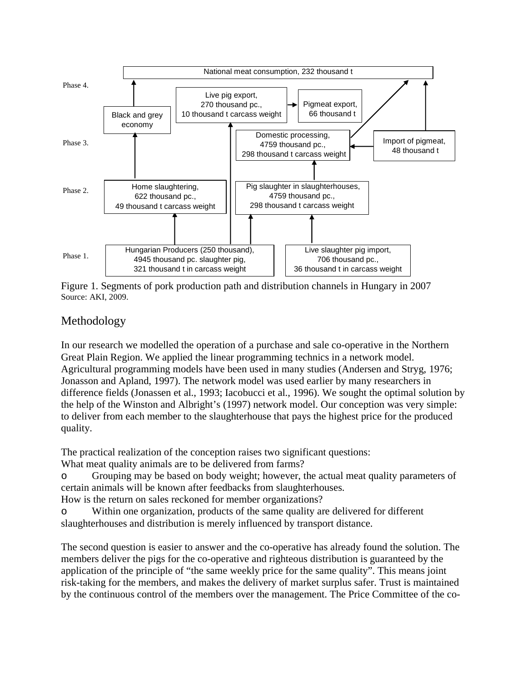

Figure 1. Segments of pork production path and distribution channels in Hungary in 2007 Source: AKI, 2009.

# Methodology

In our research we modelled the operation of a purchase and sale co-operative in the Northern Great Plain Region. We applied the linear programming technics in a network model. Agricultural programming models have been used in many studies (Andersen and Stryg, 1976; Jonasson and Apland, 1997). The network model was used earlier by many researchers in difference fields (Jonassen et al., 1993; Iacobucci et al., 1996). We sought the optimal solution by the help of the Winston and Albright's (1997) network model. Our conception was very simple: to deliver from each member to the slaughterhouse that pays the highest price for the produced quality.

The practical realization of the conception raises two significant questions:

What meat quality animals are to be delivered from farms?

o Grouping may be based on body weight; however, the actual meat quality parameters of certain animals will be known after feedbacks from slaughterhouses.

How is the return on sales reckoned for member organizations?

o Within one organization, products of the same quality are delivered for different slaughterhouses and distribution is merely influenced by transport distance.

The second question is easier to answer and the co-operative has already found the solution. The members deliver the pigs for the co-operative and righteous distribution is guaranteed by the application of the principle of "the same weekly price for the same quality". This means joint risk-taking for the members, and makes the delivery of market surplus safer. Trust is maintained by the continuous control of the members over the management. The Price Committee of the co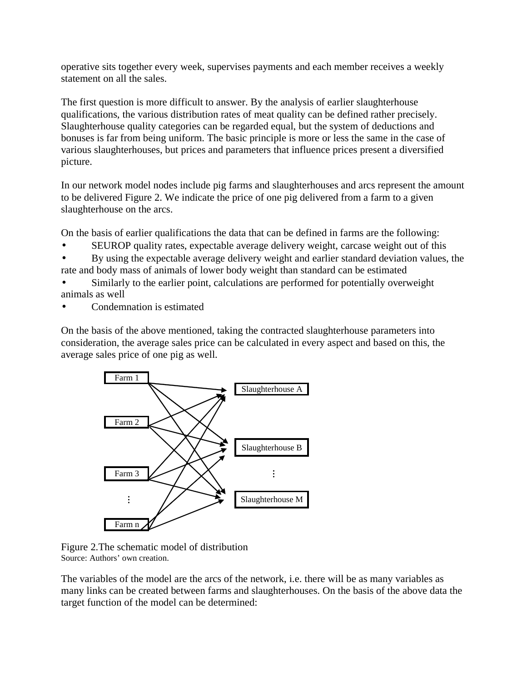operative sits together every week, supervises payments and each member receives a weekly statement on all the sales.

The first question is more difficult to answer. By the analysis of earlier slaughterhouse qualifications, the various distribution rates of meat quality can be defined rather precisely. Slaughterhouse quality categories can be regarded equal, but the system of deductions and bonuses is far from being uniform. The basic principle is more or less the same in the case of various slaughterhouses, but prices and parameters that influence prices present a diversified picture.

In our network model nodes include pig farms and slaughterhouses and arcs represent the amount to be delivered Figure 2. We indicate the price of one pig delivered from a farm to a given slaughterhouse on the arcs.

On the basis of earlier qualifications the data that can be defined in farms are the following:

- SEUROP quality rates, expectable average delivery weight, carcase weight out of this
- By using the expectable average delivery weight and earlier standard deviation values, the rate and body mass of animals of lower body weight than standard can be estimated
- Similarly to the earlier point, calculations are performed for potentially overweight animals as well
- Condemnation is estimated

On the basis of the above mentioned, taking the contracted slaughterhouse parameters into consideration, the average sales price can be calculated in every aspect and based on this, the average sales price of one pig as well.



Figure 2.The schematic model of distribution Source: Authors' own creation.

The variables of the model are the arcs of the network, i.e. there will be as many variables as many links can be created between farms and slaughterhouses. On the basis of the above data the target function of the model can be determined: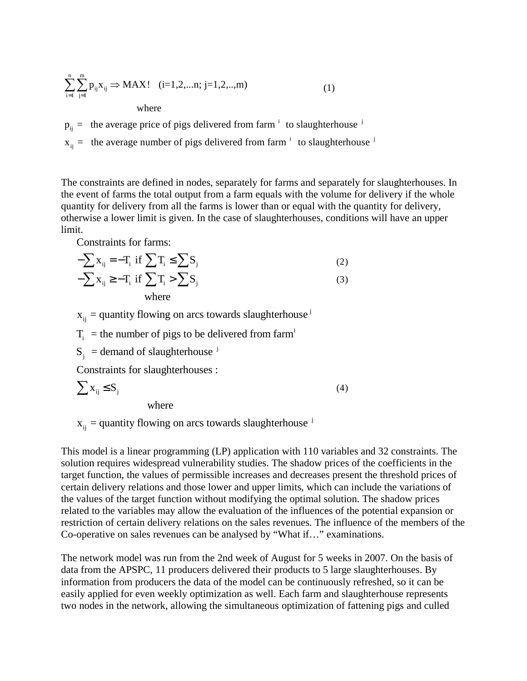$$
\sum_{i=1}^{n} \sum_{j=1}^{m} p_{ij} x_{ij} \Rightarrow MAX! \quad (i=1,2,...n; j=1,2,...,m)
$$
  
where (1)

 $^{\rm i}$  to claughterhouse  $^{\rm j}$  $p_{ij}$  = the average price of pigs delivered from farm  $i$  to slaughterhouse

 $x_{ij}$  = the average number of pigs delivered from farm  $i$  to slaughterhouse  $j$ 

The constraints are defined in nodes, separately for farms and separately for slaughterhouses. In the event of farms the total output from a farm equals with the volume for delivery if the whole quantity for delivery from all the farms is lower than or equal with the quantity for delivery, otherwise a lower limit is given. In the case of slaughterhouses, conditions will have an upper limit.

j

Constraints for farms:

$$
-\sum x_{ij} = -T_i \text{ if } \sum T_i \le \sum S_j
$$
  
-
$$
-\sum x_{ij} \ge -T_i \text{ if } \sum T_i > \sum S_j
$$
  
where (3)

 $x_{ij}$  = quantity flowing on arcs towards slaughterhouse

 $T_i$  = the number of pigs to be delivered from farm<sup>i</sup>

j  $S_j$  = demand of slaughterhouse

Constraints for slaughterhouses :

$$
\sum x_{ij} \le S_j \tag{4}
$$

where

j  $x_{ij}$  = quantity flowing on arcs towards slaughterhouse

This model is a linear programming (LP) application with 110 variables and 32 constraints. The solution requires widespread vulnerability studies. The shadow prices of the coefficients in the target function, the values of permissible increases and decreases present the threshold prices of certain delivery relations and those lower and upper limits, which can include the variations of the values of the target function without modifying the optimal solution. The shadow prices related to the variables may allow the evaluation of the influences of the potential expansion or restriction of certain delivery relations on the sales revenues. The influence of the members of the Co-operative on sales revenues can be analysed by "What if…" examinations.

The network model was run from the 2nd week of August for 5 weeks in 2007. On the basis of data from the APSPC, 11 producers delivered their products to 5 large slaughterhouses. By information from producers the data of the model can be continuously refreshed, so it can be easily applied for even weekly optimization as well. Each farm and slaughterhouse represents two nodes in the network, allowing the simultaneous optimization of fattening pigs and culled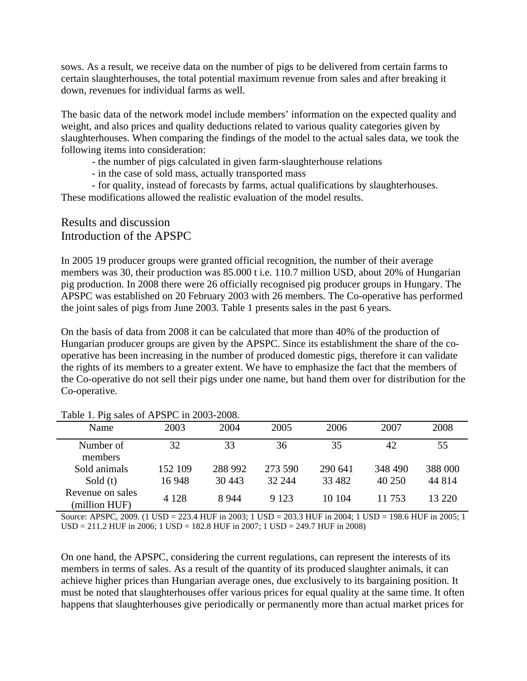sows. As a result, we receive data on the number of pigs to be delivered from certain farms to certain slaughterhouses, the total potential maximum revenue from sales and after breaking it down, revenues for individual farms as well.

The basic data of the network model include members' information on the expected quality and weight, and also prices and quality deductions related to various quality categories given by slaughterhouses. When comparing the findings of the model to the actual sales data, we took the following items into consideration:

- the number of pigs calculated in given farm-slaughterhouse relations

- in the case of sold mass, actually transported mass

- for quality, instead of forecasts by farms, actual qualifications by slaughterhouses. These modifications allowed the realistic evaluation of the model results.

#### Results and discussion Introduction of the APSPC

In 2005 19 producer groups were granted official recognition, the number of their average members was 30, their production was 85.000 t i.e. 110.7 million USD, about 20% of Hungarian pig production. In 2008 there were 26 officially recognised pig producer groups in Hungary. The APSPC was established on 20 February 2003 with 26 members. The Co-operative has performed the joint sales of pigs from June 2003. Table 1 presents sales in the past 6 years.

On the basis of data from 2008 it can be calculated that more than 40% of the production of Hungarian producer groups are given by the APSPC. Since its establishment the share of the cooperative has been increasing in the number of produced domestic pigs, therefore it can validate the rights of its members to a greater extent. We have to emphasize the fact that the members of the Co-operative do not sell their pigs under one name, but hand them over for distribution for the Co-operative.

| $14000 + 116$ sales of THE SI C III 2009 2000. |         |         |         |         |         |          |
|------------------------------------------------|---------|---------|---------|---------|---------|----------|
| Name                                           | 2003    | 2004    | 2005    | 2006    | 2007    | 2008     |
| Number of<br>members                           | 32      | 33      | 36      | 35      | 42      | 55       |
| Sold animals                                   | 152 109 | 288 992 | 273 590 | 290 641 | 348 490 | 388 000  |
| Sold $(t)$                                     | 16 948  | 30 4 43 | 32 244  | 33 4 82 | 40 250  | 44 814   |
| Revenue on sales<br>(million HUF)              | 4 1 2 8 | 8 9 4 4 | 9 1 2 3 | 10 104  | 11 753  | 13 2 2 0 |

#### Table 1. Pig sales of APSPC in 2003-2008.

Source: APSPC, 2009. (1 USD = 223.4 HUF in 2003; 1 USD = 203.3 HUF in 2004; 1 USD = 198.6 HUF in 2005; 1 USD = 211.2 HUF in 2006; 1 USD = 182.8 HUF in 2007; 1 USD = 249.7 HUF in 2008)

On one hand, the APSPC, considering the current regulations, can represent the interests of its members in terms of sales. As a result of the quantity of its produced slaughter animals, it can achieve higher prices than Hungarian average ones, due exclusively to its bargaining position. It must be noted that slaughterhouses offer various prices for equal quality at the same time. It often happens that slaughterhouses give periodically or permanently more than actual market prices for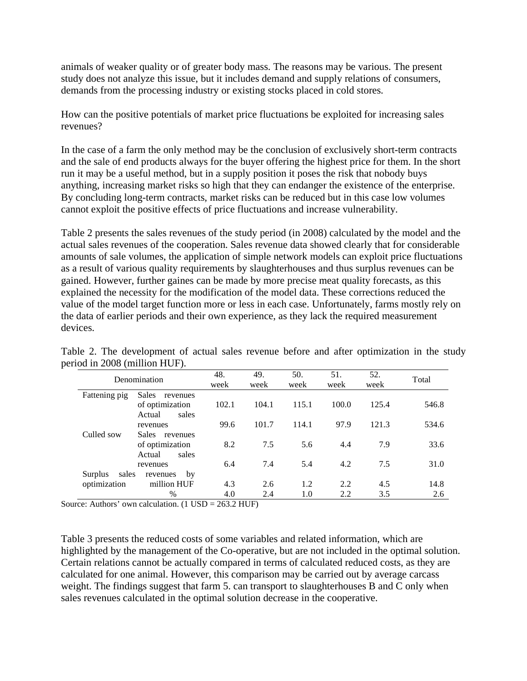animals of weaker quality or of greater body mass. The reasons may be various. The present study does not analyze this issue, but it includes demand and supply relations of consumers, demands from the processing industry or existing stocks placed in cold stores.

How can the positive potentials of market price fluctuations be exploited for increasing sales revenues?

In the case of a farm the only method may be the conclusion of exclusively short-term contracts and the sale of end products always for the buyer offering the highest price for them. In the short run it may be a useful method, but in a supply position it poses the risk that nobody buys anything, increasing market risks so high that they can endanger the existence of the enterprise. By concluding long-term contracts, market risks can be reduced but in this case low volumes cannot exploit the positive effects of price fluctuations and increase vulnerability.

Table 2 presents the sales revenues of the study period (in 2008) calculated by the model and the actual sales revenues of the cooperation. Sales revenue data showed clearly that for considerable amounts of sale volumes, the application of simple network models can exploit price fluctuations as a result of various quality requirements by slaughterhouses and thus surplus revenues can be gained. However, further gaines can be made by more precise meat quality forecasts, as this explained the necessity for the modification of the model data. These corrections reduced the value of the model target function more or less in each case. Unfortunately, farms mostly rely on the data of earlier periods and their own experience, as they lack the required measurement devices.

| Denomination                     |                                                                | 48.        | 49.        | 50.        | 51.        | 52.        | Total       |
|----------------------------------|----------------------------------------------------------------|------------|------------|------------|------------|------------|-------------|
|                                  |                                                                | week       | week       | week       | week       | week       |             |
| Fattening pig                    | Sales<br>revenues<br>of optimization<br>sales<br>Actual        | 102.1      | 104.1      | 115.1      | 100.0      | 125.4      | 546.8       |
|                                  | revenues                                                       | 99.6       | 101.7      | 114.1      | 97.9       | 121.3      | 534.6       |
| Culled sow                       | <b>Sales</b><br>revenues<br>of optimization<br>sales<br>Actual | 8.2        | 7.5        | 5.6        | 4.4        | 7.9        | 33.6        |
| revenues                         |                                                                | 6.4        | 7.4        | 5.4        | 4.2        | 7.5        | 31.0        |
| sales<br>Surplus<br>optimization | by<br>revenues<br>million HUF<br>$\%$                          | 4.3<br>4.0 | 2.6<br>2.4 | 1.2<br>1.0 | 2.2<br>2.2 | 4.5<br>3.5 | 14.8<br>2.6 |

Table 2. The development of actual sales revenue before and after optimization in the study period in 2008 (million HUF).

Source: Authors' own calculation. (1 USD = 263.2 HUF)

Table 3 presents the reduced costs of some variables and related information, which are highlighted by the management of the Co-operative, but are not included in the optimal solution. Certain relations cannot be actually compared in terms of calculated reduced costs, as they are calculated for one animal. However, this comparison may be carried out by average carcass weight. The findings suggest that farm 5. can transport to slaughterhouses B and C only when sales revenues calculated in the optimal solution decrease in the cooperative.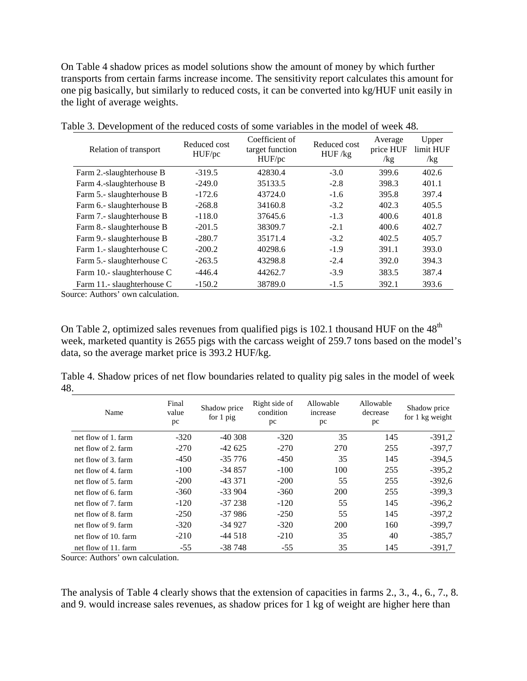On Table 4 shadow prices as model solutions show the amount of money by which further transports from certain farms increase income. The sensitivity report calculates this amount for one pig basically, but similarly to reduced costs, it can be converted into kg/HUF unit easily in the light of average weights.

| Relation of transport      | Reduced cost<br>HUF/pc | Coefficient of<br>target function<br>HUF/pc | Reduced cost<br>HUF/kg | Average<br>price HUF<br>/kg | Upper<br>limit HUF<br>/kg |
|----------------------------|------------------------|---------------------------------------------|------------------------|-----------------------------|---------------------------|
| Farm 2.-slaughterhouse B   | $-319.5$               | 42830.4                                     | $-3.0$                 | 399.6                       | 402.6                     |
| Farm 4.-slaughterhouse B   | $-249.0$               | 35133.5                                     | $-2.8$                 | 398.3                       | 401.1                     |
| Farm 5.- slaughterhouse B  | $-172.6$               | 43724.0                                     | $-1.6$                 | 395.8                       | 397.4                     |
| Farm 6.- slaughterhouse B  | $-268.8$               | 34160.8                                     | $-3.2$                 | 402.3                       | 405.5                     |
| Farm 7.- slaughterhouse B  | $-118.0$               | 37645.6                                     | $-1.3$                 | 400.6                       | 401.8                     |
| Farm 8.- slaughterhouse B  | $-201.5$               | 38309.7                                     | $-2.1$                 | 400.6                       | 402.7                     |
| Farm 9.- slaughterhouse B  | $-280.7$               | 35171.4                                     | $-3.2$                 | 402.5                       | 405.7                     |
| Farm 1.- slaughterhouse C  | $-200.2$               | 40298.6                                     | $-1.9$                 | 391.1                       | 393.0                     |
| Farm 5.- slaughterhouse C  | $-263.5$               | 43298.8                                     | $-2.4$                 | 392.0                       | 394.3                     |
| Farm 10.- slaughterhouse C | $-446.4$               | 44262.7                                     | $-3.9$                 | 383.5                       | 387.4                     |
| Farm 11.- slaughterhouse C | $-150.2$               | 38789.0                                     | $-1.5$                 | 392.1                       | 393.6                     |

Table 3. Development of the reduced costs of some variables in the model of week 48.

Source: Authors' own calculation.

On Table 2, optimized sales revenues from qualified pigs is 102.1 thousand HUF on the  $48<sup>th</sup>$ week, marketed quantity is 2655 pigs with the carcass weight of 259.7 tons based on the model's data, so the average market price is 393.2 HUF/kg.

Table 4. Shadow prices of net flow boundaries related to quality pig sales in the model of week 48.

| Name                 | Final<br>value<br>pc | Shadow price<br>for 1 pig | Right side of<br>condition<br>pc | Allowable<br>increase<br>pc | Allowable<br>decrease<br>pc | Shadow price<br>for 1 kg weight |
|----------------------|----------------------|---------------------------|----------------------------------|-----------------------------|-----------------------------|---------------------------------|
| net flow of 1. farm  | $-320$               | $-40.308$                 | $-320$                           | 35                          | 145                         | $-391,2$                        |
| net flow of 2. farm  | $-270$               | $-42625$                  | $-270$                           | 270                         | 255                         | $-397.7$                        |
| net flow of 3. farm  | $-450$               | $-35776$                  | $-450$                           | 35                          | 145                         | $-394,5$                        |
| net flow of 4. farm  | $-100$               | $-34857$                  | $-100$                           | 100                         | 255                         | $-395.2$                        |
| net flow of 5, farm  | $-200$               | $-43371$                  | $-200$                           | 55                          | 255                         | $-392,6$                        |
| net flow of 6, farm  | $-360$               | $-33904$                  | $-360$                           | <b>200</b>                  | 255                         | $-399.3$                        |
| net flow of 7. farm  | $-120$               | $-37238$                  | $-120$                           | 55                          | 145                         | $-396.2$                        |
| net flow of 8, farm  | $-250$               | $-37986$                  | $-250$                           | 55                          | 145                         | $-397.2$                        |
| net flow of 9. farm  | $-320$               | $-34927$                  | $-320$                           | <b>200</b>                  | 160                         | $-399.7$                        |
| net flow of 10, farm | $-210$               | $-44.518$                 | $-210$                           | 35                          | 40                          | $-385.7$                        |
| net flow of 11. farm | $-55$                | $-38748$                  | $-55$                            | 35                          | 145                         | $-391.7$                        |

Source: Authors' own calculation.

The analysis of Table 4 clearly shows that the extension of capacities in farms 2., 3., 4., 6., 7., 8. and 9. would increase sales revenues, as shadow prices for 1 kg of weight are higher here than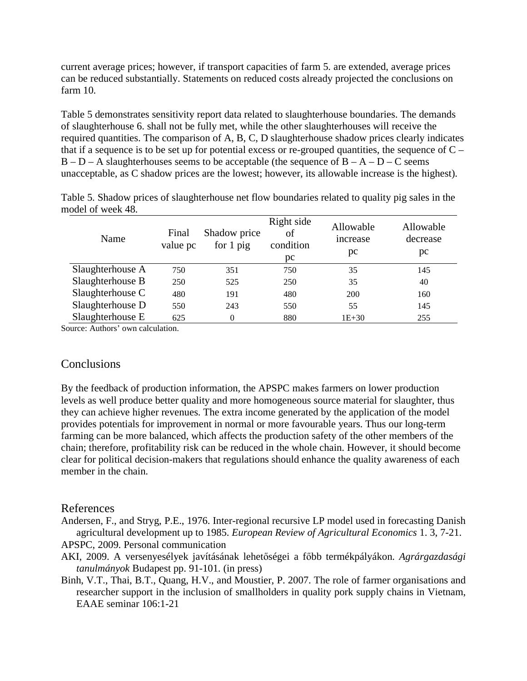current average prices; however, if transport capacities of farm 5. are extended, average prices can be reduced substantially. Statements on reduced costs already projected the conclusions on farm 10.

Table 5 demonstrates sensitivity report data related to slaughterhouse boundaries. The demands of slaughterhouse 6. shall not be fully met, while the other slaughterhouses will receive the required quantities. The comparison of A, B, C, D slaughterhouse shadow prices clearly indicates that if a sequence is to be set up for potential excess or re-grouped quantities, the sequence of  $C B - D - A$  slaughterhouses seems to be acceptable (the sequence of  $B - A - D - C$  seems unacceptable, as C shadow prices are the lowest; however, its allowable increase is the highest).

| Name             | Final<br>value pc | Shadow price<br>for $1$ pig | Right side<br>of<br>condition<br>pc | Allowable<br>increase<br>pc | Allowable<br>decrease<br>pc |
|------------------|-------------------|-----------------------------|-------------------------------------|-----------------------------|-----------------------------|
| Slaughterhouse A | 750               | 351                         | 750                                 | 35                          | 145                         |
| Slaughterhouse B | 250               | 525                         | 250                                 | 35                          | 40                          |
| Slaughterhouse C | 480               | 191                         | 480                                 | 200                         | 160                         |
| Slaughterhouse D | 550               | 243                         | 550                                 | 55                          | 145                         |
| Slaughterhouse E | 625               |                             | 880                                 | $1E + 30$                   | 255                         |

Table 5. Shadow prices of slaughterhouse net flow boundaries related to quality pig sales in the model of week 48.

Source: Authors' own calculation.

#### **Conclusions**

By the feedback of production information, the APSPC makes farmers on lower production levels as well produce better quality and more homogeneous source material for slaughter, thus they can achieve higher revenues. The extra income generated by the application of the model provides potentials for improvement in normal or more favourable years. Thus our long-term farming can be more balanced, which affects the production safety of the other members of the chain; therefore, profitability risk can be reduced in the whole chain. However, it should become clear for political decision-makers that regulations should enhance the quality awareness of each member in the chain.

#### References

Andersen, F., and Stryg, P.E., 1976. Inter-regional recursive LP model used in forecasting Danish agricultural development up to 1985. *European Review of Agricultural Economics* 1. 3, 7-21. APSPC, 2009. Personal communication

- AKI, 2009. A versenyesélyek javításának lehetőségei a főbb termékpályákon. Agrárgazdasági *tanulmányok* Budapest pp. 91-101. (in press)
- Binh, V.T., Thai, B.T., Quang, H.V., and Moustier, P. 2007. The role of farmer organisations and researcher support in the inclusion of smallholders in quality pork supply chains in Vietnam, EAAE seminar 106:1-21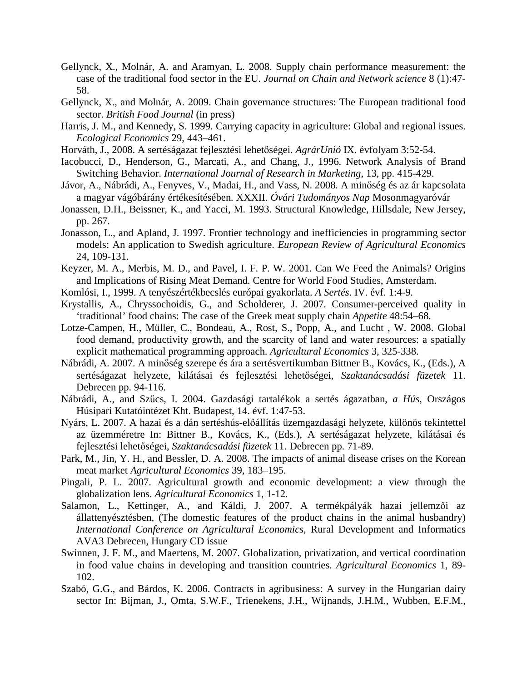- Gellynck, X., Molnár, A. and Aramyan, L. 2008. Supply chain performance measurement: the case of the traditional food sector in the EU. *Journal on Chain and Network science* 8 (1):47- 58.
- Gellynck, X., and Molnár, A. 2009. Chain governance structures: The European traditional food sector. *British Food Journal* (in press)
- Harris, J. M., and Kennedy, S. 1999. Carrying capacity in agriculture: Global and regional issues. *Ecological Economics* 29, 443–461.
- Horváth, J., 2008. A sertéságazat fejlesztési lehetőségei. AgrárUnió IX. évfolyam 3:52-54.
- Iacobucci, D., Henderson, G., Marcati, A., and Chang, J., 1996. Network Analysis of Brand Switching Behavior. *International Journal of Research in Marketing*, 13, pp. 415-429.
- Jávor, A., Nábrádi, A., Fenyves, V., Madai, H., and Vass, N. 2008. A minőség és az ár kapcsolata a magyar vágóbárány értékesítésében. XXXII. *Óvári Tudományos Nap* Mosonmagyaróvár
- Jonassen, D.H., Beissner, K., and Yacci, M. 1993. Structural Knowledge, Hillsdale, New Jersey, pp. 267.
- Jonasson, L., and Apland, J. 1997. Frontier technology and inefficiencies in programming sector models: An application to Swedish agriculture. *European Review of Agricultural Economics* 24, 109-131.
- Keyzer, M. A., Merbis, M. D., and Pavel, I. F. P. W. 2001. Can We Feed the Animals? Origins and Implications of Rising Meat Demand. Centre for World Food Studies, Amsterdam.
- Komlósi, I., 1999. A tenyészértékbecslés európai gyakorlata. *A Sertés*. IV. évf. 1:4-9.
- Krystallis, A., Chryssochoidis, G., and Scholderer, J. 2007. Consumer-perceived quality in 'traditional' food chains: The case of the Greek meat supply chain *Appetite* 48:54–68.
- Lotze-Campen, H., Müller, C., Bondeau, A., Rost, S., Popp, A., and Lucht , W. 2008. Global food demand, productivity growth, and the scarcity of land and water resources: a spatially explicit mathematical programming approach. *Agricultural Economics* 3, 325-338.
- Nábrádi, A. 2007. A minőség szerepe és ára a sertésvertikumban Bittner B., Kovács, K., (Eds.), A sertéságazat helyzete, kilátásai és fejlesztési lehetőségei, Szaktanácsadási füzetek 11. Debrecen pp. 94-116.
- Nábrádi, A., and Szőcs, I. 2004. Gazdasági tartalékok a sertés ágazatban, *a Hús*, Országos Húsipari Kutatóintézet Kht. Budapest, 14. évf. 1:47-53.
- Nyárs, L. 2007. A hazai és a dán sertéshús-előállítás üzemgazdasági helyzete, különös tekintettel az üzemméretre In: Bittner B., Kovács, K., (Eds.), A sertéságazat helyzete, kilátásai és fejlesztési lehetőségei, *Szaktanácsadási füzetek* 11. Debrecen pp. 71-89.
- Park, M., Jin, Y. H., and Bessler, D. A. 2008. The impacts of animal disease crises on the Korean meat market *Agricultural Economics* 39, 183–195.
- Pingali, P. L. 2007. Agricultural growth and economic development: a view through the globalization lens. *Agricultural Economics* 1, 1-12.
- Salamon, L., Kettinger, A., and Káldi, J. 2007. A termékpályák hazai jellemzői az állattenyésztésben, (The domestic features of the product chains in the animal husbandry) *International Conference on Agricultural Economics,* Rural Development and Informatics AVA3 Debrecen, Hungary CD issue
- Swinnen, J. F. M., and Maertens, M. 2007. Globalization, privatization, and vertical coordination in food value chains in developing and transition countries. *Agricultural Economics* 1, 89- 102.
- Szabó, G.G., and Bárdos, K. 2006. Contracts in agribusiness: A survey in the Hungarian dairy sector In: Bijman, J., Omta, S.W.F., Trienekens, J.H., Wijnands, J.H.M., Wubben, E.F.M.,